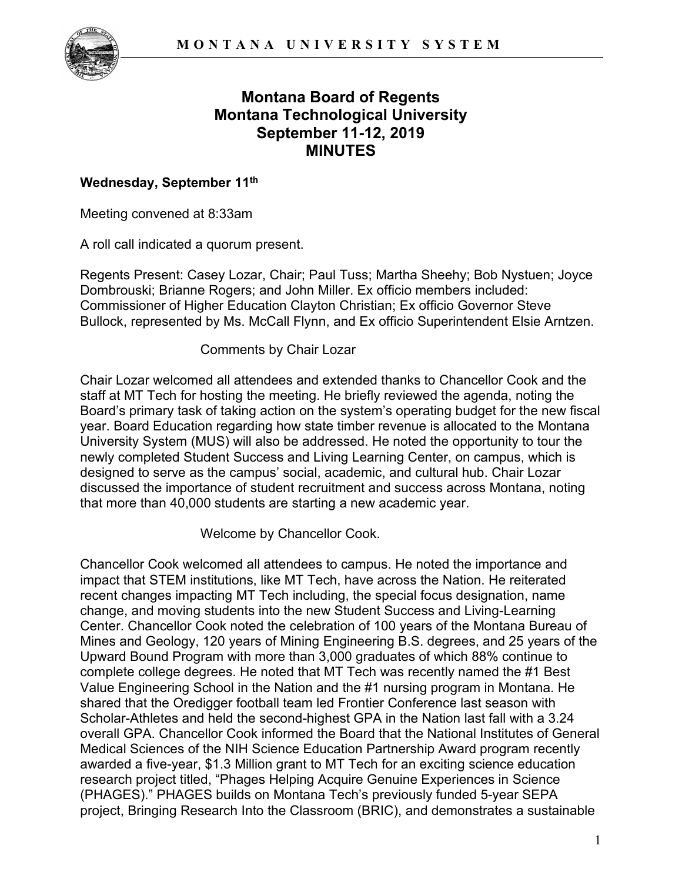

# **Montana Board of Regents Montana Technological University September 11-12, 2019 MINUTES**

## **Wednesday, September 11th**

Meeting convened at 8:33am

A roll call indicated a quorum present.

Regents Present: Casey Lozar, Chair; Paul Tuss; Martha Sheehy; Bob Nystuen; Joyce Dombrouski; Brianne Rogers; and John Miller. Ex officio members included: Commissioner of Higher Education Clayton Christian; Ex officio Governor Steve Bullock, represented by Ms. McCall Flynn, and Ex officio Superintendent Elsie Arntzen.

#### Comments by Chair Lozar

Chair Lozar welcomed all attendees and extended thanks to Chancellor Cook and the staff at MT Tech for hosting the meeting. He briefly reviewed the agenda, noting the Board's primary task of taking action on the system's operating budget for the new fiscal year. Board Education regarding how state timber revenue is allocated to the Montana University System (MUS) will also be addressed. He noted the opportunity to tour the newly completed Student Success and Living Learning Center, on campus, which is designed to serve as the campus' social, academic, and cultural hub. Chair Lozar discussed the importance of student recruitment and success across Montana, noting that more than 40,000 students are starting a new academic year.

Welcome by Chancellor Cook.

Chancellor Cook welcomed all attendees to campus. He noted the importance and impact that STEM institutions, like MT Tech, have across the Nation. He reiterated recent changes impacting MT Tech including, the special focus designation, name change, and moving students into the new Student Success and Living-Learning Center. Chancellor Cook noted the celebration of 100 years of the Montana Bureau of Mines and Geology, 120 years of Mining Engineering B.S. degrees, and 25 years of the Upward Bound Program with more than 3,000 graduates of which 88% continue to complete college degrees. He noted that MT Tech was recently named the #1 Best Value Engineering School in the Nation and the #1 nursing program in Montana. He shared that the Oredigger football team led Frontier Conference last season with Scholar-Athletes and held the second-highest GPA in the Nation last fall with a 3.24 overall GPA. Chancellor Cook informed the Board that the National Institutes of General Medical Sciences of the NIH Science Education Partnership Award program recently awarded a five-year, \$1.3 Million grant to MT Tech for an exciting science education research project titled, "Phages Helping Acquire Genuine Experiences in Science (PHAGES)." PHAGES builds on Montana Tech's previously funded 5-year SEPA project, Bringing Research Into the Classroom (BRIC), and demonstrates a sustainable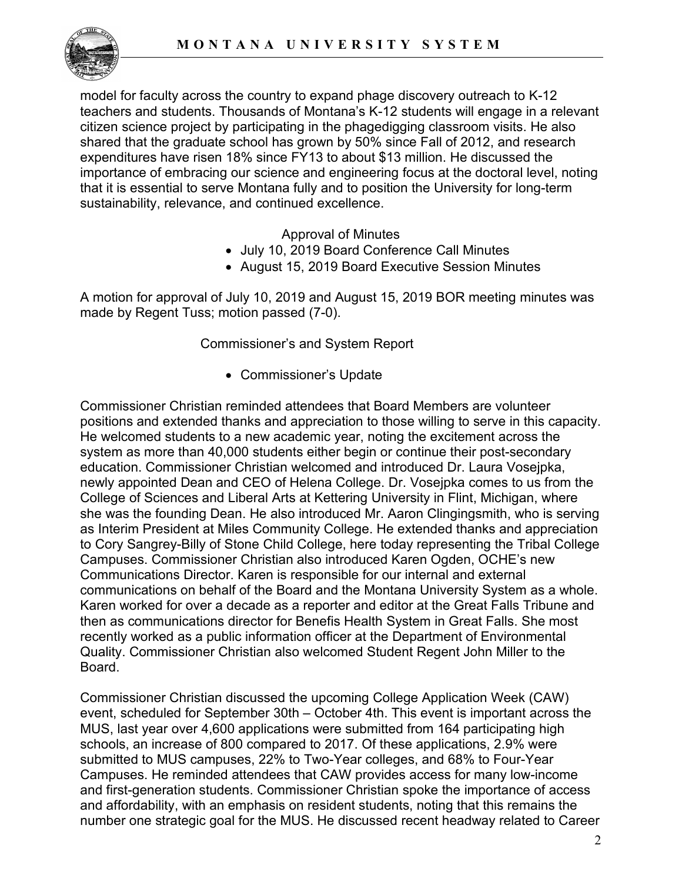

model for faculty across the country to expand phage discovery outreach to K-12 teachers and students. Thousands of Montana's K-12 students will engage in a relevant citizen science project by participating in the phagedigging classroom visits. He also shared that the graduate school has grown by 50% since Fall of 2012, and research expenditures have risen 18% since FY13 to about \$13 million. He discussed the importance of embracing our science and engineering focus at the doctoral level, noting that it is essential to serve Montana fully and to position the University for long-term sustainability, relevance, and continued excellence.

Approval of Minutes

- July 10, 2019 Board Conference Call Minutes
- August 15, 2019 Board Executive Session Minutes

A motion for approval of July 10, 2019 and August 15, 2019 BOR meeting minutes was made by Regent Tuss; motion passed (7-0).

# Commissioner's and System Report

• Commissioner's Update

Commissioner Christian reminded attendees that Board Members are volunteer positions and extended thanks and appreciation to those willing to serve in this capacity. He welcomed students to a new academic year, noting the excitement across the system as more than 40,000 students either begin or continue their post-secondary education. Commissioner Christian welcomed and introduced Dr. Laura Vosejpka, newly appointed Dean and CEO of Helena College. Dr. Vosejpka comes to us from the College of Sciences and Liberal Arts at Kettering University in Flint, Michigan, where she was the founding Dean. He also introduced Mr. Aaron Clingingsmith, who is serving as Interim President at Miles Community College. He extended thanks and appreciation to Cory Sangrey-Billy of Stone Child College, here today representing the Tribal College Campuses. Commissioner Christian also introduced Karen Ogden, OCHE's new Communications Director. Karen is responsible for our internal and external communications on behalf of the Board and the Montana University System as a whole. Karen worked for over a decade as a reporter and editor at the Great Falls Tribune and then as communications director for Benefis Health System in Great Falls. She most recently worked as a public information officer at the Department of Environmental Quality. Commissioner Christian also welcomed Student Regent John Miller to the Board.

Commissioner Christian discussed the upcoming College Application Week (CAW) event, scheduled for September 30th – October 4th. This event is important across the MUS, last year over 4,600 applications were submitted from 164 participating high schools, an increase of 800 compared to 2017. Of these applications, 2.9% were submitted to MUS campuses, 22% to Two-Year colleges, and 68% to Four-Year Campuses. He reminded attendees that CAW provides access for many low-income and first-generation students. Commissioner Christian spoke the importance of access and affordability, with an emphasis on resident students, noting that this remains the number one strategic goal for the MUS. He discussed recent headway related to Career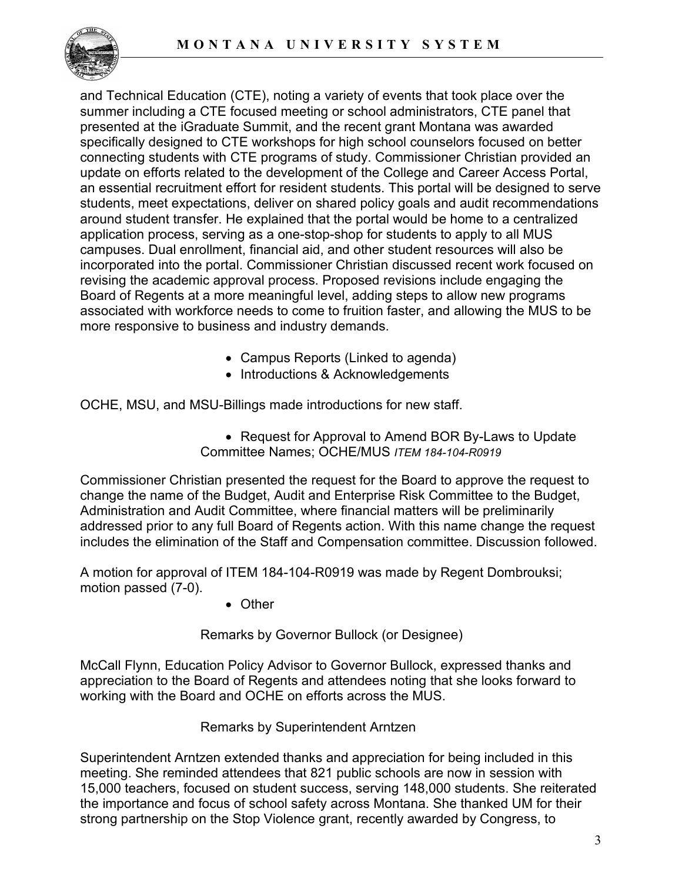

and Technical Education (CTE), noting a variety of events that took place over the summer including a CTE focused meeting or school administrators, CTE panel that presented at the iGraduate Summit, and the recent grant Montana was awarded specifically designed to CTE workshops for high school counselors focused on better connecting students with CTE programs of study. Commissioner Christian provided an update on efforts related to the development of the College and Career Access Portal, an essential recruitment effort for resident students. This portal will be designed to serve students, meet expectations, deliver on shared policy goals and audit recommendations around student transfer. He explained that the portal would be home to a centralized application process, serving as a one-stop-shop for students to apply to all MUS campuses. Dual enrollment, financial aid, and other student resources will also be incorporated into the portal. Commissioner Christian discussed recent work focused on revising the academic approval process. Proposed revisions include engaging the Board of Regents at a more meaningful level, adding steps to allow new programs associated with workforce needs to come to fruition faster, and allowing the MUS to be more responsive to business and industry demands.

- Campus Reports (Linked to agenda)
- Introductions & Acknowledgements

OCHE, MSU, and MSU-Billings made introductions for new staff.

• Request for Approval to Amend BOR By-Laws to Update Committee Names; OCHE/MUS *ITEM 184-104-R0919*

Commissioner Christian presented the request for the Board to approve the request to change the name of the Budget, Audit and Enterprise Risk Committee to the Budget, Administration and Audit Committee, where financial matters will be preliminarily addressed prior to any full Board of Regents action. With this name change the request includes the elimination of the Staff and Compensation committee. Discussion followed.

A motion for approval of ITEM 184-104-R0919 was made by Regent Dombrouksi; motion passed (7-0).

• Other

Remarks by Governor Bullock (or Designee)

McCall Flynn, Education Policy Advisor to Governor Bullock, expressed thanks and appreciation to the Board of Regents and attendees noting that she looks forward to working with the Board and OCHE on efforts across the MUS.

Remarks by Superintendent Arntzen

Superintendent Arntzen extended thanks and appreciation for being included in this meeting. She reminded attendees that 821 public schools are now in session with 15,000 teachers, focused on student success, serving 148,000 students. She reiterated the importance and focus of school safety across Montana. She thanked UM for their strong partnership on the Stop Violence grant, recently awarded by Congress, to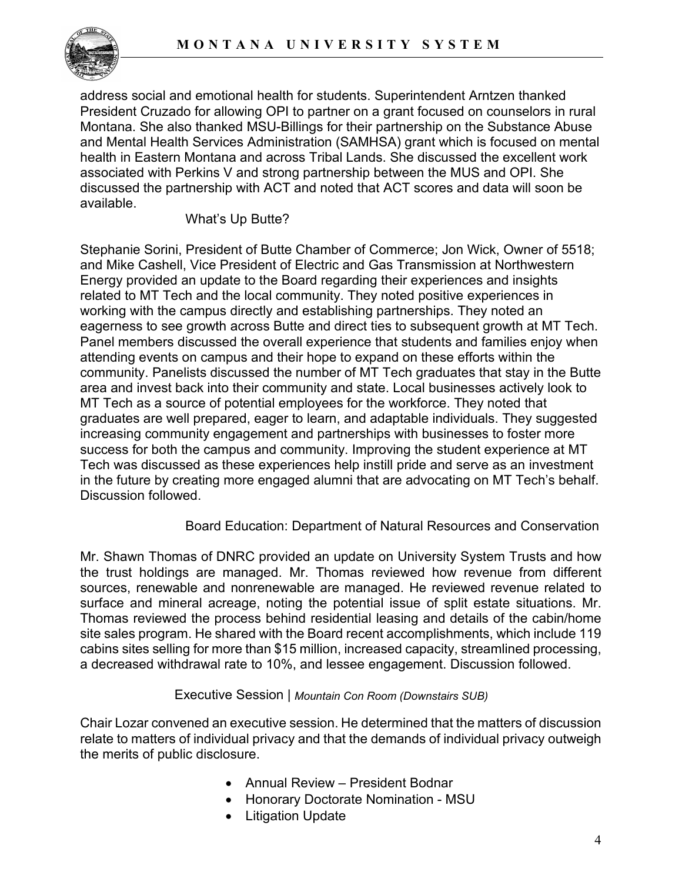

address social and emotional health for students. Superintendent Arntzen thanked President Cruzado for allowing OPI to partner on a grant focused on counselors in rural Montana. She also thanked MSU-Billings for their partnership on the Substance Abuse and Mental Health Services Administration (SAMHSA) grant which is focused on mental health in Eastern Montana and across Tribal Lands. She discussed the excellent work associated with Perkins V and strong partnership between the MUS and OPI. She discussed the partnership with ACT and noted that ACT scores and data will soon be available.

## What's Up Butte?

Stephanie Sorini, President of Butte Chamber of Commerce; Jon Wick, Owner of 5518; and Mike Cashell, Vice President of Electric and Gas Transmission at Northwestern Energy provided an update to the Board regarding their experiences and insights related to MT Tech and the local community. They noted positive experiences in working with the campus directly and establishing partnerships. They noted an eagerness to see growth across Butte and direct ties to subsequent growth at MT Tech. Panel members discussed the overall experience that students and families enjoy when attending events on campus and their hope to expand on these efforts within the community. Panelists discussed the number of MT Tech graduates that stay in the Butte area and invest back into their community and state. Local businesses actively look to MT Tech as a source of potential employees for the workforce. They noted that graduates are well prepared, eager to learn, and adaptable individuals. They suggested increasing community engagement and partnerships with businesses to foster more success for both the campus and community. Improving the student experience at MT Tech was discussed as these experiences help instill pride and serve as an investment in the future by creating more engaged alumni that are advocating on MT Tech's behalf. Discussion followed.

# Board Education: Department of Natural Resources and Conservation

Mr. Shawn Thomas of DNRC provided an update on University System Trusts and how the trust holdings are managed. Mr. Thomas reviewed how revenue from different sources, renewable and nonrenewable are managed. He reviewed revenue related to surface and mineral acreage, noting the potential issue of split estate situations. Mr. Thomas reviewed the process behind residential leasing and details of the cabin/home site sales program. He shared with the Board recent accomplishments, which include 119 cabins sites selling for more than \$15 million, increased capacity, streamlined processing, a decreased withdrawal rate to 10%, and lessee engagement. Discussion followed.

#### Executive Session | *Mountain Con Room (Downstairs SUB)*

Chair Lozar convened an executive session. He determined that the matters of discussion relate to matters of individual privacy and that the demands of individual privacy outweigh the merits of public disclosure.

- Annual Review President Bodnar
- Honorary Doctorate Nomination MSU
- Litigation Update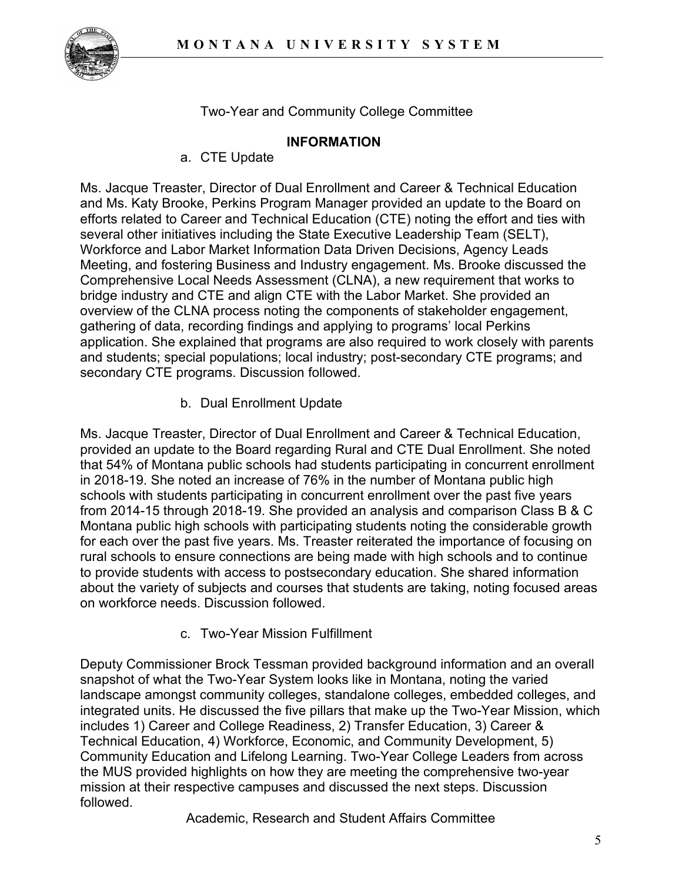

Two-Year and Community College Committee

## **INFORMATION**

a. CTE Update

Ms. Jacque Treaster, Director of Dual Enrollment and Career & Technical Education and Ms. Katy Brooke, Perkins Program Manager provided an update to the Board on efforts related to Career and Technical Education (CTE) noting the effort and ties with several other initiatives including the State Executive Leadership Team (SELT), Workforce and Labor Market Information Data Driven Decisions, Agency Leads Meeting, and fostering Business and Industry engagement. Ms. Brooke discussed the Comprehensive Local Needs Assessment (CLNA), a new requirement that works to bridge industry and CTE and align CTE with the Labor Market. She provided an overview of the CLNA process noting the components of stakeholder engagement, gathering of data, recording findings and applying to programs' local Perkins application. She explained that programs are also required to work closely with parents and students; special populations; local industry; post-secondary CTE programs; and secondary CTE programs. Discussion followed.

b. Dual Enrollment Update

Ms. Jacque Treaster, Director of Dual Enrollment and Career & Technical Education, provided an update to the Board regarding Rural and CTE Dual Enrollment. She noted that 54% of Montana public schools had students participating in concurrent enrollment in 2018-19. She noted an increase of 76% in the number of Montana public high schools with students participating in concurrent enrollment over the past five years from 2014-15 through 2018-19. She provided an analysis and comparison Class B & C Montana public high schools with participating students noting the considerable growth for each over the past five years. Ms. Treaster reiterated the importance of focusing on rural schools to ensure connections are being made with high schools and to continue to provide students with access to postsecondary education. She shared information about the variety of subjects and courses that students are taking, noting focused areas on workforce needs. Discussion followed.

c. Two-Year Mission Fulfillment

Deputy Commissioner Brock Tessman provided background information and an overall snapshot of what the Two-Year System looks like in Montana, noting the varied landscape amongst community colleges, standalone colleges, embedded colleges, and integrated units. He discussed the five pillars that make up the Two-Year Mission, which includes 1) Career and College Readiness, 2) Transfer Education, 3) Career & Technical Education, 4) Workforce, Economic, and Community Development, 5) Community Education and Lifelong Learning. Two-Year College Leaders from across the MUS provided highlights on how they are meeting the comprehensive two-year mission at their respective campuses and discussed the next steps. Discussion followed.

Academic, Research and Student Affairs Committee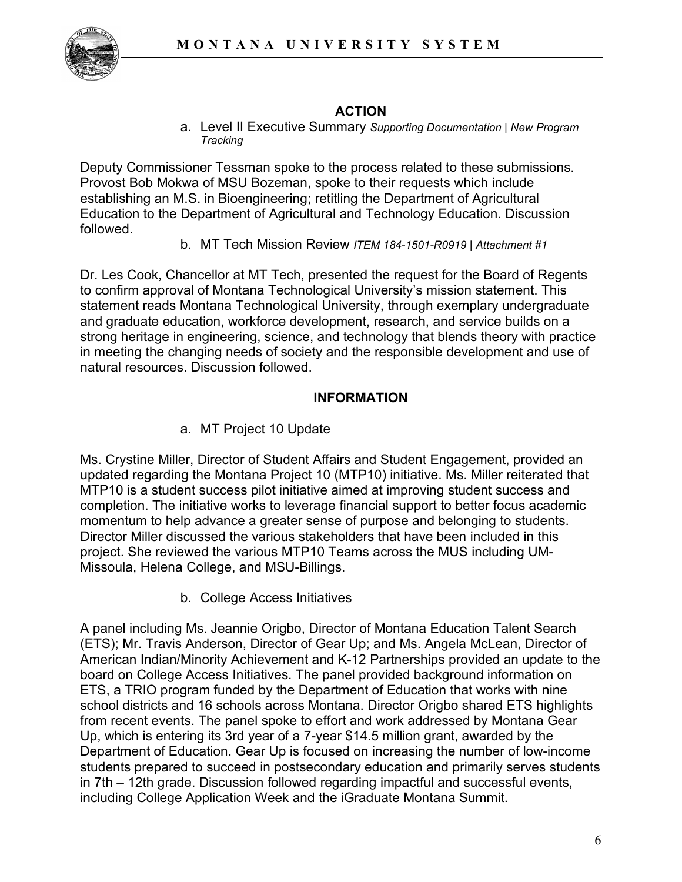

## **ACTION**

a. Level II Executive Summary *Supporting Documentation | New Program Tracking*

Deputy Commissioner Tessman spoke to the process related to these submissions. Provost Bob Mokwa of MSU Bozeman, spoke to their requests which include establishing an M.S. in Bioengineering; retitling the Department of Agricultural Education to the Department of Agricultural and Technology Education. Discussion followed.

b. MT Tech Mission Review *ITEM 184-1501-R0919 | Attachment #1*

Dr. Les Cook, Chancellor at MT Tech, presented the request for the Board of Regents to confirm approval of Montana Technological University's mission statement. This statement reads Montana Technological University, through exemplary undergraduate and graduate education, workforce development, research, and service builds on a strong heritage in engineering, science, and technology that blends theory with practice in meeting the changing needs of society and the responsible development and use of natural resources. Discussion followed.

### **INFORMATION**

a. MT Project 10 Update

Ms. Crystine Miller, Director of Student Affairs and Student Engagement, provided an updated regarding the Montana Project 10 (MTP10) initiative. Ms. Miller reiterated that MTP10 is a student success pilot initiative aimed at improving student success and completion. The initiative works to leverage financial support to better focus academic momentum to help advance a greater sense of purpose and belonging to students. Director Miller discussed the various stakeholders that have been included in this project. She reviewed the various MTP10 Teams across the MUS including UM-Missoula, Helena College, and MSU-Billings.

b. College Access Initiatives

A panel including Ms. Jeannie Origbo, Director of Montana Education Talent Search (ETS); Mr. Travis Anderson, Director of Gear Up; and Ms. Angela McLean, Director of American Indian/Minority Achievement and K-12 Partnerships provided an update to the board on College Access Initiatives. The panel provided background information on ETS, a TRIO program funded by the Department of Education that works with nine school districts and 16 schools across Montana. Director Origbo shared ETS highlights from recent events. The panel spoke to effort and work addressed by Montana Gear Up, which is entering its 3rd year of a 7-year \$14.5 million grant, awarded by the Department of Education. Gear Up is focused on increasing the number of low-income students prepared to succeed in postsecondary education and primarily serves students in 7th – 12th grade. Discussion followed regarding impactful and successful events, including College Application Week and the iGraduate Montana Summit.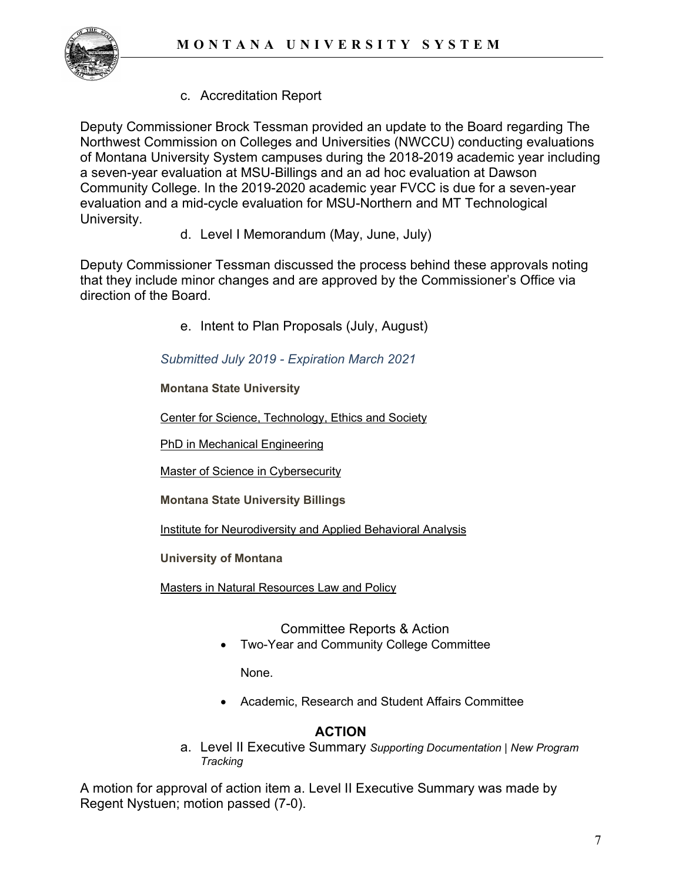

c. Accreditation Report

Deputy Commissioner Brock Tessman provided an update to the Board regarding The Northwest Commission on Colleges and Universities (NWCCU) conducting evaluations of Montana University System campuses during the 2018-2019 academic year including a seven-year evaluation at MSU-Billings and an ad hoc evaluation at Dawson Community College. In the 2019-2020 academic year FVCC is due for a seven-year evaluation and a mid-cycle evaluation for MSU-Northern and MT Technological University.

d. Level I Memorandum (May, June, July)

Deputy Commissioner Tessman discussed the process behind these approvals noting that they include minor changes and are approved by the Commissioner's Office via direction of the Board.

e. Intent to Plan Proposals (July, August)

*Submitted July 2019 - Expiration March 2021*

**Montana State University**

[Center for Science, Technology, Ethics and Society](https://mus.edu/che/arsa/IntenttoPlan/2019/IPCSTES.pdf)

**[PhD in Mechanical Engineering](https://mus.edu/che/arsa/IntenttoPlan/2019/IPPhDME.pdf)** 

[Master of Science in Cybersecurity](https://mus.edu/che/arsa/IntenttoPlan/2019/IPMSCybersecurity.pdf)

**Montana State University Billings**

[Institute for Neurodiversity and Applied Behavioral Analysis](https://mus.edu/che/arsa/IntenttoPlan/2019/IPNABA.pdf)

**University of Montana**

[Masters in Natural Resources Law and Policy](https://mus.edu/che/arsa/IntenttoPlan/2019/ITP_MANaturalResourcePolicyandLaw.pdf)

Committee Reports & Action

• Two-Year and Community College Committee

None.

• Academic, Research and Student Affairs Committee

# **ACTION**

a. Level II Executive Summary *Supporting Documentation | New Program Tracking*

A motion for approval of action item a. Level II Executive Summary was made by Regent Nystuen; motion passed (7-0).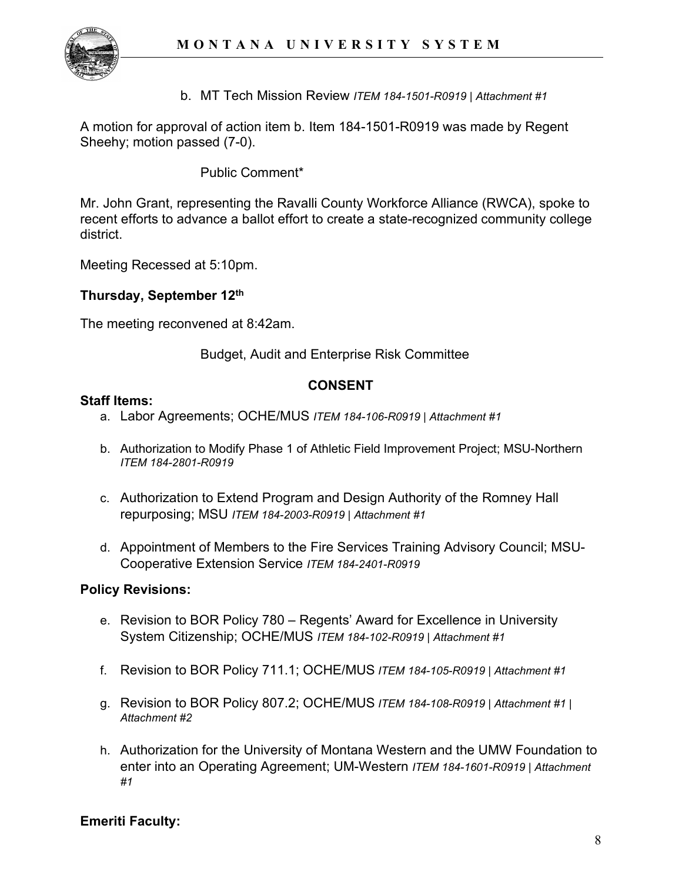

b. MT Tech Mission Review *ITEM 184-1501-R0919 | Attachment #1*

A motion for approval of action item b. Item 184-1501-R0919 was made by Regent Sheehy; motion passed (7-0).

# Public Comment\*

Mr. John Grant, representing the Ravalli County Workforce Alliance (RWCA), spoke to recent efforts to advance a ballot effort to create a state-recognized community college district.

Meeting Recessed at 5:10pm.

### **Thursday, September 12th**

The meeting reconvened at 8:42am.

Budget, Audit and Enterprise Risk Committee

### **CONSENT**

#### **Staff Items:**

- a. Labor Agreements; OCHE/MUS *ITEM 184-106-R0919 | Attachment #1*
- b. Authorization to Modify Phase 1 of Athletic Field Improvement Project; MSU-Northern *ITEM 184-2801-R0919*
- c. Authorization to Extend Program and Design Authority of the Romney Hall repurposing; MSU *ITEM 184-2003-R0919 | Attachment #1*
- d. Appointment of Members to the Fire Services Training Advisory Council; MSU-Cooperative Extension Service *ITEM 184-2401-R0919*

#### **Policy Revisions:**

- e. Revision to BOR Policy 780 Regents' Award for Excellence in University System Citizenship; OCHE/MUS *ITEM 184-102-R0919 | Attachment #1*
- f. Revision to BOR Policy 711.1; OCHE/MUS *ITEM 184-105-R0919 | Attachment #1*
- g. Revision to BOR Policy 807.2; OCHE/MUS *ITEM 184-108-R0919 | Attachment #1 | Attachment #2*
- h. Authorization for the University of Montana Western and the UMW Foundation to enter into an Operating Agreement; UM-Western *ITEM 184-1601-R0919 | Attachment #1*

# **Emeriti Faculty:**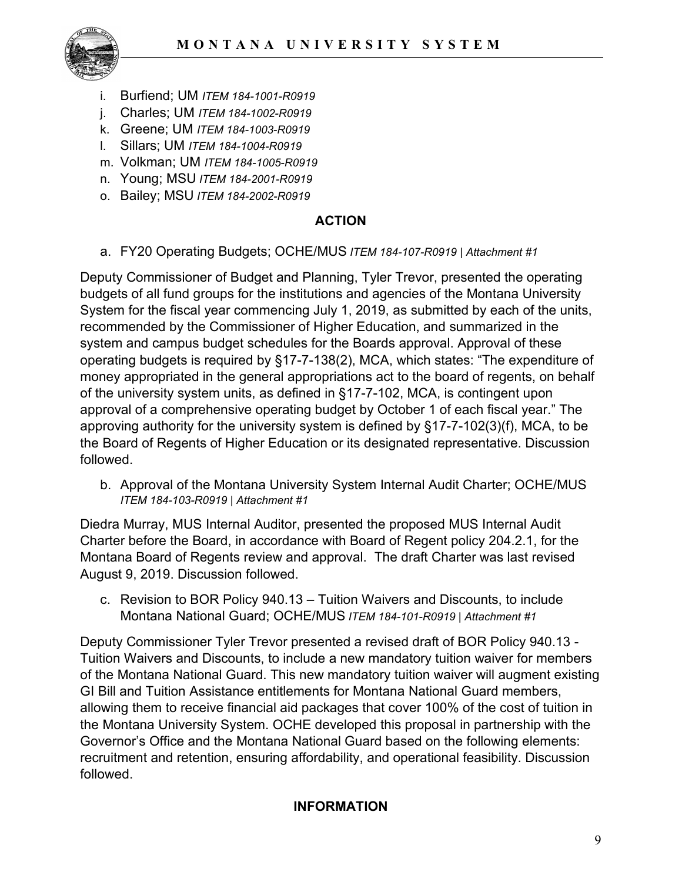

- i. Burfiend; UM *ITEM 184-1001-R0919*
- j. Charles; UM *ITEM 184-1002-R0919*
- k. Greene; UM *ITEM 184-1003-R0919*
- l. Sillars; UM *ITEM 184-1004-R0919*
- m. Volkman; UM *ITEM 184-1005-R0919*
- n. Young; MSU *ITEM 184-2001-R0919*
- o. Bailey; MSU *ITEM 184-2002-R0919*

### **ACTION**

a. FY20 Operating Budgets; OCHE/MUS *ITEM 184-107-R0919 | Attachment #1*

Deputy Commissioner of Budget and Planning, Tyler Trevor, presented the operating budgets of all fund groups for the institutions and agencies of the Montana University System for the fiscal year commencing July 1, 2019, as submitted by each of the units, recommended by the Commissioner of Higher Education, and summarized in the system and campus budget schedules for the Boards approval. Approval of these operating budgets is required by §17-7-138(2), MCA, which states: "The expenditure of money appropriated in the general appropriations act to the board of regents, on behalf of the university system units, as defined in §17-7-102, MCA, is contingent upon approval of a comprehensive operating budget by October 1 of each fiscal year." The approving authority for the university system is defined by §17-7-102(3)(f), MCA, to be the Board of Regents of Higher Education or its designated representative. Discussion followed.

b. Approval of the Montana University System Internal Audit Charter; OCHE/MUS *ITEM 184-103-R0919 | Attachment #1*

Diedra Murray, MUS Internal Auditor, presented the proposed MUS Internal Audit Charter before the Board, in accordance with Board of Regent policy 204.2.1, for the Montana Board of Regents review and approval. The draft Charter was last revised August 9, 2019. Discussion followed.

c. Revision to BOR Policy 940.13 – Tuition Waivers and Discounts, to include Montana National Guard; OCHE/MUS *ITEM 184-101-R0919 | Attachment #1*

Deputy Commissioner Tyler Trevor presented a revised draft of BOR Policy 940.13 - Tuition Waivers and Discounts, to include a new mandatory tuition waiver for members of the Montana National Guard. This new mandatory tuition waiver will augment existing GI Bill and Tuition Assistance entitlements for Montana National Guard members, allowing them to receive financial aid packages that cover 100% of the cost of tuition in the Montana University System. OCHE developed this proposal in partnership with the Governor's Office and the Montana National Guard based on the following elements: recruitment and retention, ensuring affordability, and operational feasibility. Discussion followed.

#### **INFORMATION**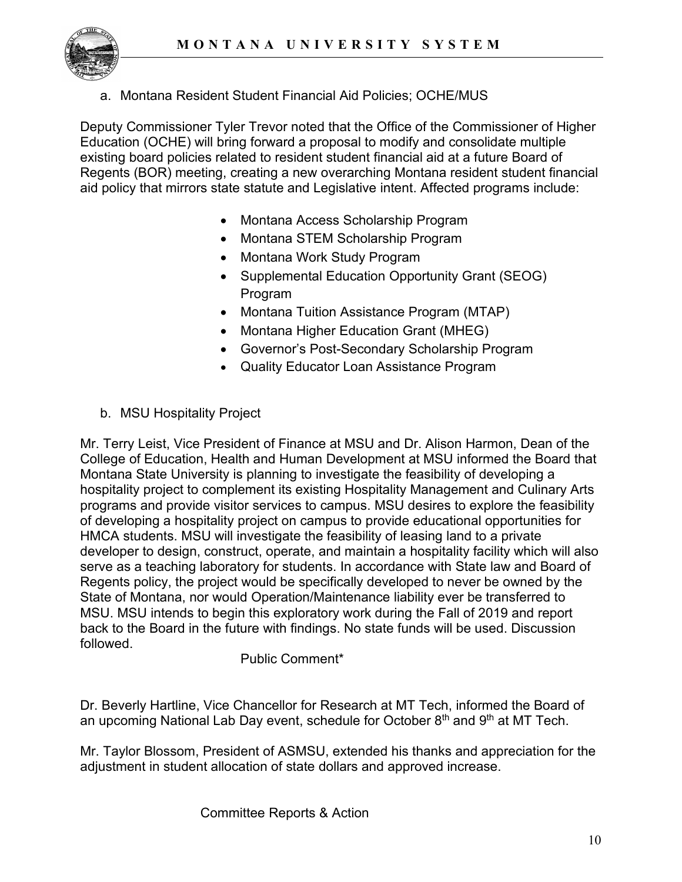

a. Montana Resident Student Financial Aid Policies; OCHE/MUS

Deputy Commissioner Tyler Trevor noted that the Office of the Commissioner of Higher Education (OCHE) will bring forward a proposal to modify and consolidate multiple existing board policies related to resident student financial aid at a future Board of Regents (BOR) meeting, creating a new overarching Montana resident student financial aid policy that mirrors state statute and Legislative intent. Affected programs include:

- Montana Access Scholarship Program
- Montana STEM Scholarship Program
- Montana Work Study Program
- Supplemental Education Opportunity Grant (SEOG) Program
- Montana Tuition Assistance Program (MTAP)
- Montana Higher Education Grant (MHEG)
- Governor's Post-Secondary Scholarship Program
- Quality Educator Loan Assistance Program
- b. MSU Hospitality Project

Mr. Terry Leist, Vice President of Finance at MSU and Dr. Alison Harmon, Dean of the College of Education, Health and Human Development at MSU informed the Board that Montana State University is planning to investigate the feasibility of developing a hospitality project to complement its existing Hospitality Management and Culinary Arts programs and provide visitor services to campus. MSU desires to explore the feasibility of developing a hospitality project on campus to provide educational opportunities for HMCA students. MSU will investigate the feasibility of leasing land to a private developer to design, construct, operate, and maintain a hospitality facility which will also serve as a teaching laboratory for students. In accordance with State law and Board of Regents policy, the project would be specifically developed to never be owned by the State of Montana, nor would Operation/Maintenance liability ever be transferred to MSU. MSU intends to begin this exploratory work during the Fall of 2019 and report back to the Board in the future with findings. No state funds will be used. Discussion followed.

Public Comment\*

Dr. Beverly Hartline, Vice Chancellor for Research at MT Tech, informed the Board of an upcoming National Lab Day event, schedule for October  $8<sup>th</sup>$  and  $9<sup>th</sup>$  at MT Tech.

Mr. Taylor Blossom, President of ASMSU, extended his thanks and appreciation for the adjustment in student allocation of state dollars and approved increase.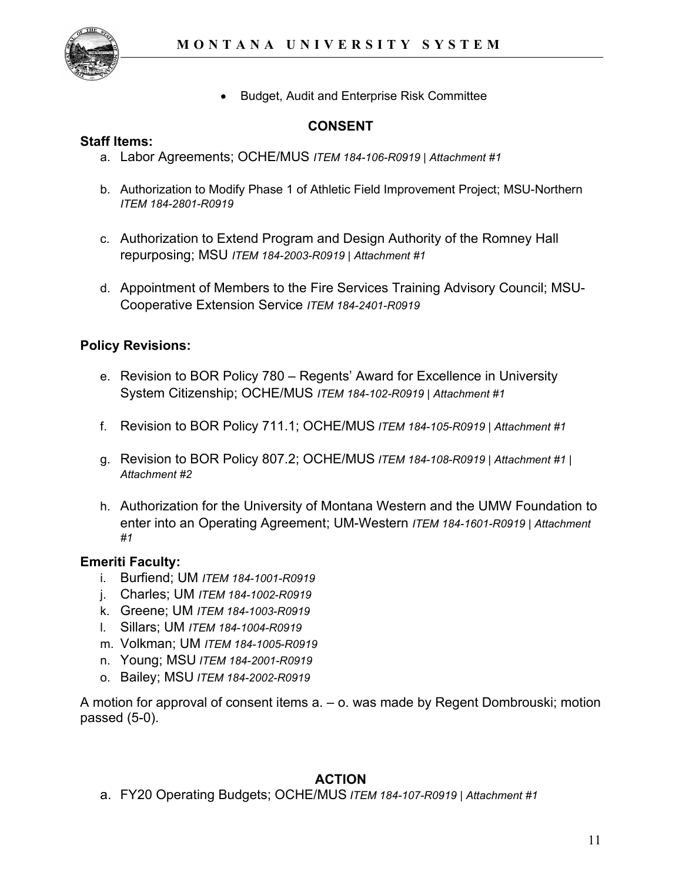

• Budget, Audit and Enterprise Risk Committee

## **CONSENT**

#### **Staff Items:**

- a. Labor Agreements; OCHE/MUS *ITEM 184-106-R0919 | Attachment #1*
- b. Authorization to Modify Phase 1 of Athletic Field Improvement Project; MSU-Northern *ITEM 184-2801-R0919*
- c. Authorization to Extend Program and Design Authority of the Romney Hall repurposing; MSU *ITEM 184-2003-R0919 | Attachment #1*
- d. Appointment of Members to the Fire Services Training Advisory Council; MSU-Cooperative Extension Service *ITEM 184-2401-R0919*

### **Policy Revisions:**

- e. Revision to BOR Policy 780 Regents' Award for Excellence in University System Citizenship; OCHE/MUS *ITEM 184-102-R0919 | Attachment #1*
- f. Revision to BOR Policy 711.1; OCHE/MUS *ITEM 184-105-R0919 | Attachment #1*
- g. Revision to BOR Policy 807.2; OCHE/MUS *ITEM 184-108-R0919 | Attachment #1 | Attachment #2*
- h. Authorization for the University of Montana Western and the UMW Foundation to enter into an Operating Agreement; UM-Western *ITEM 184-1601-R0919 | Attachment #1*

#### **Emeriti Faculty:**

- i. Burfiend; UM *ITEM 184-1001-R0919*
- j. Charles; UM *ITEM 184-1002-R0919*
- k. Greene; UM *ITEM 184-1003-R0919*
- l. Sillars; UM *ITEM 184-1004-R0919*
- m. Volkman; UM *ITEM 184-1005-R0919*
- n. Young; MSU *ITEM 184-2001-R0919*
- o. Bailey; MSU *ITEM 184-2002-R0919*

A motion for approval of consent items a. – o. was made by Regent Dombrouski; motion passed (5-0).

# **ACTION**

a. FY20 Operating Budgets; OCHE/MUS *ITEM 184-107-R0919 | Attachment #1*